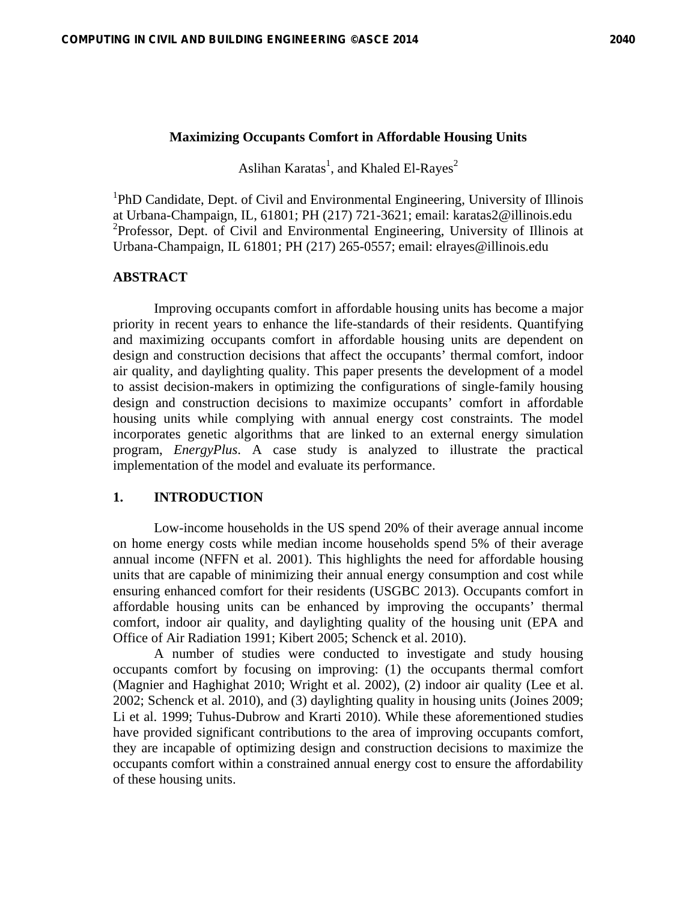## **Maximizing Occupants Comfort in Affordable Housing Units**

Aslihan Karatas<sup>1</sup>, and Khaled El-Rayes<sup>2</sup>

<sup>1</sup>PhD Candidate, Dept. of Civil and Environmental Engineering, University of Illinois at Urbana-Champaign, IL, 61801; PH (217) 721-3621; email: karatas2@illinois.edu 2 Professor, Dept. of Civil and Environmental Engineering, University of Illinois at Urbana-Champaign, IL 61801; PH (217) 265-0557; email: elrayes@illinois.edu

## **ABSTRACT**

Improving occupants comfort in affordable housing units has become a major priority in recent years to enhance the life-standards of their residents. Quantifying and maximizing occupants comfort in affordable housing units are dependent on design and construction decisions that affect the occupants' thermal comfort, indoor air quality, and daylighting quality. This paper presents the development of a model to assist decision-makers in optimizing the configurations of single-family housing design and construction decisions to maximize occupants' comfort in affordable housing units while complying with annual energy cost constraints. The model incorporates genetic algorithms that are linked to an external energy simulation program, *EnergyPlus*. A case study is analyzed to illustrate the practical implementation of the model and evaluate its performance.

#### **1. INTRODUCTION**

Low-income households in the US spend 20% of their average annual income on home energy costs while median income households spend 5% of their average annual income (NFFN et al. 2001). This highlights the need for affordable housing units that are capable of minimizing their annual energy consumption and cost while ensuring enhanced comfort for their residents (USGBC 2013). Occupants comfort in affordable housing units can be enhanced by improving the occupants' thermal comfort, indoor air quality, and daylighting quality of the housing unit (EPA and Office of Air Radiation 1991; Kibert 2005; Schenck et al. 2010).

A number of studies were conducted to investigate and study housing occupants comfort by focusing on improving: (1) the occupants thermal comfort (Magnier and Haghighat 2010; Wright et al. 2002), (2) indoor air quality (Lee et al. 2002; Schenck et al. 2010), and (3) daylighting quality in housing units (Joines 2009; Li et al. 1999; Tuhus-Dubrow and Krarti 2010). While these aforementioned studies have provided significant contributions to the area of improving occupants comfort, they are incapable of optimizing design and construction decisions to maximize the occupants comfort within a constrained annual energy cost to ensure the affordability of these housing units.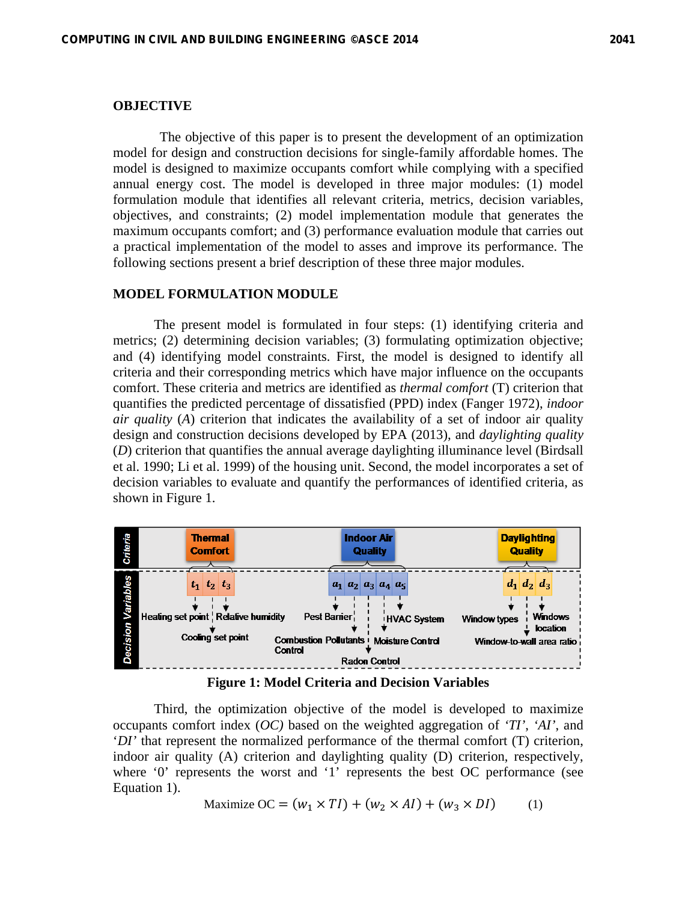## **OBJECTIVE**

 The objective of this paper is to present the development of an optimization model for design and construction decisions for single-family affordable homes. The model is designed to maximize occupants comfort while complying with a specified annual energy cost. The model is developed in three major modules: (1) model formulation module that identifies all relevant criteria, metrics, decision variables, objectives, and constraints; (2) model implementation module that generates the maximum occupants comfort; and (3) performance evaluation module that carries out a practical implementation of the model to asses and improve its performance. The following sections present a brief description of these three major modules.

## **MODEL FORMULATION MODULE**

The present model is formulated in four steps: (1) identifying criteria and metrics; (2) determining decision variables; (3) formulating optimization objective; and (4) identifying model constraints. First, the model is designed to identify all criteria and their corresponding metrics which have major influence on the occupants comfort. These criteria and metrics are identified as *thermal comfort* (T) criterion that quantifies the predicted percentage of dissatisfied (PPD) index (Fanger 1972), *indoor air quality* (*A*) criterion that indicates the availability of a set of indoor air quality design and construction decisions developed by EPA (2013), and *daylighting quality* (*D*) criterion that quantifies the annual average daylighting illuminance level (Birdsall et al. 1990; Li et al. 1999) of the housing unit. Second, the model incorporates a set of decision variables to evaluate and quantify the performances of identified criteria, as shown in Figure 1.



**Figure 1: Model Criteria and Decision Variables** 

Third, the optimization objective of the model is developed to maximize occupants comfort index (*OC)* based on the weighted aggregation of *'TI'*, *'AI'*, and '*DI'* that represent the normalized performance of the thermal comfort (T) criterion, indoor air quality (A) criterion and daylighting quality (D) criterion, respectively, where '0' represents the worst and '1' represents the best OC performance (see Equation 1).

$$
\text{Maximize } \text{OC} = (w_1 \times TI) + (w_2 \times AI) + (w_3 \times DI) \tag{1}
$$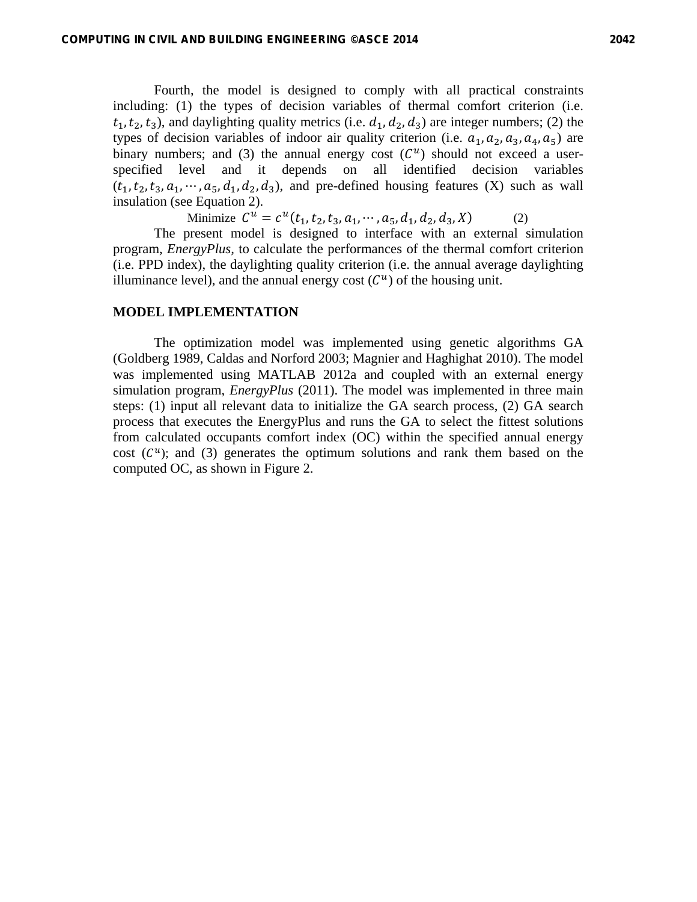Fourth, the model is designed to comply with all practical constraints including: (1) the types of decision variables of thermal comfort criterion (i.e.  $t_1, t_2, t_3$ ), and daylighting quality metrics (i.e.  $d_1, d_2, d_3$ ) are integer numbers; (2) the types of decision variables of indoor air quality criterion (i.e.  $a_1, a_2, a_3, a_4, a_5$ ) are binary numbers; and (3) the annual energy cost  $(C^u)$  should not exceed a userspecified level and it depends on all identified decision variables  $(t_1, t_2, t_3, a_1, \cdots, a_5, d_1, d_2, d_3)$ , and pre-defined housing features (X) such as wall insulation (see Equation 2).

Minimize  $C^u = c^u(t_1, t_2, t_3, a_1, \dots, a_5, d_1, d_2, d_3, X)$  (2)

The present model is designed to interface with an external simulation program, *EnergyPlus,* to calculate the performances of the thermal comfort criterion (i.e. PPD index), the daylighting quality criterion (i.e. the annual average daylighting illuminance level), and the annual energy cost  $(C^u)$  of the housing unit.

#### **MODEL IMPLEMENTATION**

The optimization model was implemented using genetic algorithms GA (Goldberg 1989, Caldas and Norford 2003; Magnier and Haghighat 2010). The model was implemented using MATLAB 2012a and coupled with an external energy simulation program, *EnergyPlus* (2011). The model was implemented in three main steps: (1) input all relevant data to initialize the GA search process, (2) GA search process that executes the EnergyPlus and runs the GA to select the fittest solutions from calculated occupants comfort index (OC) within the specified annual energy cost  $(C^u)$ ; and (3) generates the optimum solutions and rank them based on the computed OC, as shown in Figure 2.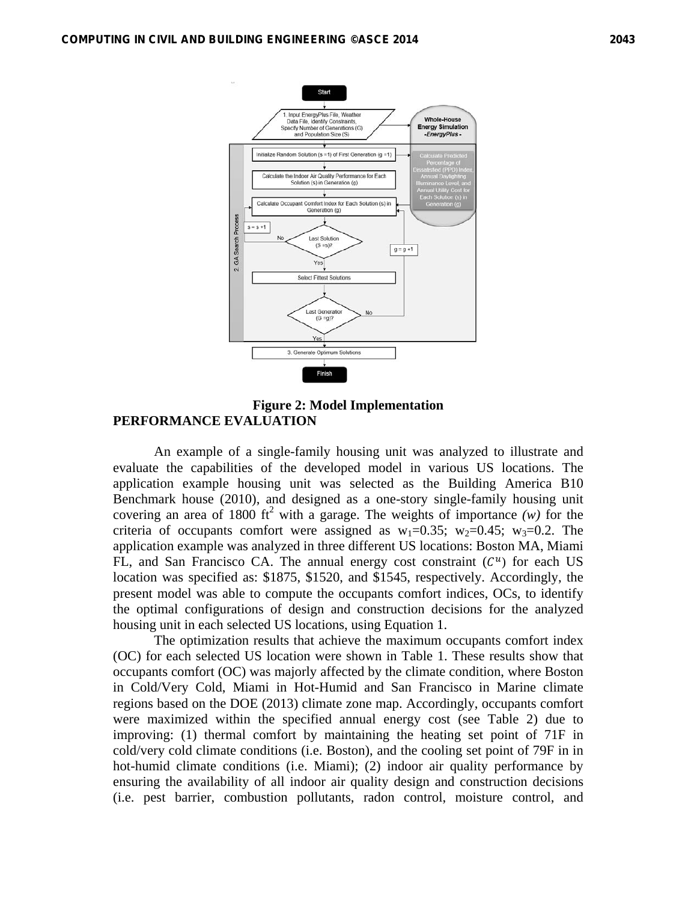

**Figure 2: Model Implementation PERFORMANCE EVALUATION** 

An example of a single-family housing unit was analyzed to illustrate and evaluate the capabilities of the developed model in various US locations. The application example housing unit was selected as the Building America B10 Benchmark house (2010), and designed as a one-story single-family housing unit covering an area of 1800 ft<sup>2</sup> with a garage. The weights of importance  $(w)$  for the criteria of occupants comfort were assigned as  $w_1=0.35$ ;  $w_2=0.45$ ;  $w_3=0.2$ . The application example was analyzed in three different US locations: Boston MA, Miami FL, and San Francisco CA. The annual energy cost constraint  $(C^u)$  for each US location was specified as: \$1875, \$1520, and \$1545, respectively. Accordingly, the present model was able to compute the occupants comfort indices, OCs, to identify the optimal configurations of design and construction decisions for the analyzed housing unit in each selected US locations, using Equation 1.

The optimization results that achieve the maximum occupants comfort index (OC) for each selected US location were shown in Table 1. These results show that occupants comfort (OC) was majorly affected by the climate condition, where Boston in Cold/Very Cold, Miami in Hot-Humid and San Francisco in Marine climate regions based on the DOE (2013) climate zone map. Accordingly, occupants comfort were maximized within the specified annual energy cost (see Table 2) due to improving: (1) thermal comfort by maintaining the heating set point of 71F in cold/very cold climate conditions (i.e. Boston), and the cooling set point of 79F in in hot-humid climate conditions (i.e. Miami); (2) indoor air quality performance by ensuring the availability of all indoor air quality design and construction decisions (i.e. pest barrier, combustion pollutants, radon control, moisture control, and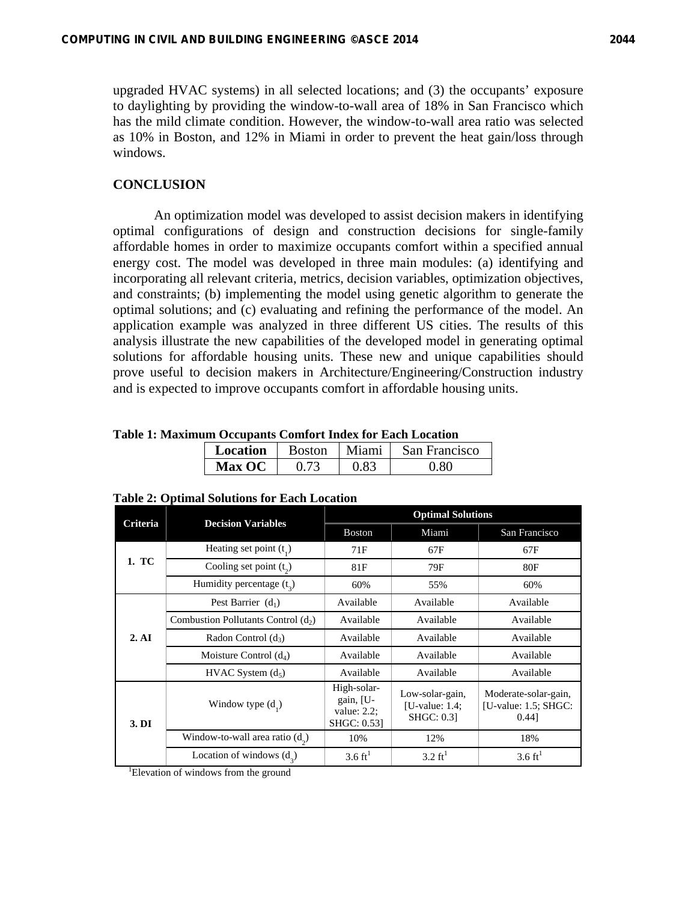upgraded HVAC systems) in all selected locations; and (3) the occupants' exposure to daylighting by providing the window-to-wall area of 18% in San Francisco which has the mild climate condition. However, the window-to-wall area ratio was selected as 10% in Boston, and 12% in Miami in order to prevent the heat gain/loss through windows.

# **CONCLUSION**

An optimization model was developed to assist decision makers in identifying optimal configurations of design and construction decisions for single-family affordable homes in order to maximize occupants comfort within a specified annual energy cost. The model was developed in three main modules: (a) identifying and incorporating all relevant criteria, metrics, decision variables, optimization objectives, and constraints; (b) implementing the model using genetic algorithm to generate the optimal solutions; and (c) evaluating and refining the performance of the model. An application example was analyzed in three different US cities. The results of this analysis illustrate the new capabilities of the developed model in generating optimal solutions for affordable housing units. These new and unique capabilities should prove useful to decision makers in Architecture/Engineering/Construction industry and is expected to improve occupants comfort in affordable housing units.

| анг өссарана сонног гипасл гог шасп шосааон |               |               |       |               |  |  |  |
|---------------------------------------------|---------------|---------------|-------|---------------|--|--|--|
|                                             | Location      | <b>Boston</b> | Miami | San Francisco |  |  |  |
|                                             | <b>Max OC</b> | 0.73          | 0 83  | በ ጸበ          |  |  |  |

**Table 1: Maximum Occupants Comfort Index for Each Location** 

| Criteria | <b>Decision Variables</b>             | <b>Optimal Solutions</b>                                  |                                                           |                                                             |  |
|----------|---------------------------------------|-----------------------------------------------------------|-----------------------------------------------------------|-------------------------------------------------------------|--|
|          |                                       | <b>Boston</b>                                             | Miami                                                     | San Francisco                                               |  |
|          | Heating set point $(t_1)$             | 71F                                                       | 67F                                                       | 67F                                                         |  |
| 1. TC    | Cooling set point $(t_2)$             | 81F                                                       | 79F                                                       | 80F                                                         |  |
|          | Humidity percentage $(t_2)$           | 60%                                                       | 55%                                                       | 60%                                                         |  |
|          | Pest Barrier $(d_1)$                  | Available                                                 | Available                                                 | Available                                                   |  |
|          | Combustion Pollutants Control $(d_2)$ | Available                                                 | Available                                                 | Available                                                   |  |
| 2. AI    | Radon Control $(d_3)$                 | Available                                                 | Available                                                 | Available                                                   |  |
|          | Moisture Control $(d_4)$              | Available                                                 | Available                                                 | Available                                                   |  |
|          | HVAC System (d <sub>5</sub> )         | Available                                                 | Available                                                 | Available                                                   |  |
| 3. DI    | Window type $(d_1)$                   | High-solar-<br>gain, [U-<br>value: $2.2$ ;<br>SHGC: 0.53] | Low-solar-gain,<br>[U-value: $1.4$ ;<br><b>SHGC: 0.31</b> | Moderate-solar-gain,<br>[U-value: $1.5$ ; SHGC:<br>$0.44$ ] |  |
|          | Window-to-wall area ratio $(d_2)$     | 10%                                                       | 12%                                                       | 18%                                                         |  |
|          | Location of windows $(d_3)$           | $3.6 \text{ ft}^1$                                        | $3.2 \text{ ft}^1$                                        | $3.6 \text{ ft}^1$                                          |  |

#### **Table 2: Optimal Solutions for Each Location**

<sup>1</sup>Elevation of windows from the ground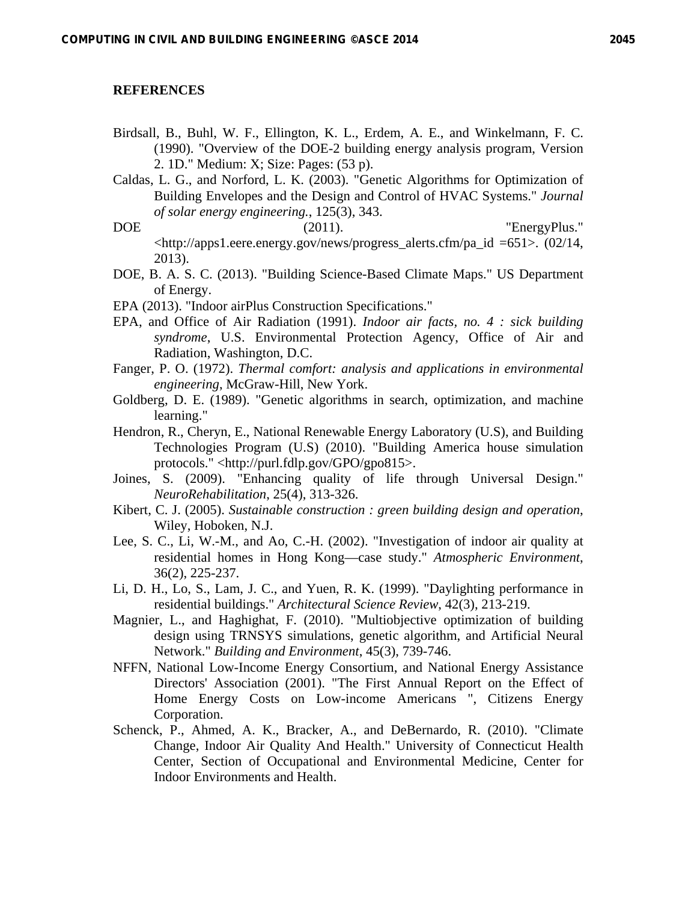#### **REFERENCES**

- Birdsall, B., Buhl, W. F., Ellington, K. L., Erdem, A. E., and Winkelmann, F. C. (1990). "Overview of the DOE-2 building energy analysis program, Version 2. 1D." Medium: X; Size: Pages: (53 p).
- Caldas, L. G., and Norford, L. K. (2003). "Genetic Algorithms for Optimization of Building Envelopes and the Design and Control of HVAC Systems." *Journal of solar energy engineering.*, 125(3), 343.
- DOE (2011). "EnergyPlus." <http://apps1.eere.energy.gov/news/progress\_alerts.cfm/pa\_id =651>. (02/14, 2013).
- DOE, B. A. S. C. (2013). "Building Science-Based Climate Maps." US Department of Energy.
- EPA (2013). "Indoor airPlus Construction Specifications."
- EPA, and Office of Air Radiation (1991). *Indoor air facts, no. 4 : sick building syndrome*, U.S. Environmental Protection Agency, Office of Air and Radiation, Washington, D.C.
- Fanger, P. O. (1972). *Thermal comfort: analysis and applications in environmental engineering*, McGraw-Hill, New York.
- Goldberg, D. E. (1989). "Genetic algorithms in search, optimization, and machine learning."
- Hendron, R., Cheryn, E., National Renewable Energy Laboratory (U.S), and Building Technologies Program (U.S) (2010). "Building America house simulation protocols." <http://purl.fdlp.gov/GPO/gpo815>.
- Joines, S. (2009). "Enhancing quality of life through Universal Design." *NeuroRehabilitation*, 25(4), 313-326.
- Kibert, C. J. (2005). *Sustainable construction : green building design and operation*, Wiley, Hoboken, N.J.
- Lee, S. C., Li, W.-M., and Ao, C.-H. (2002). "Investigation of indoor air quality at residential homes in Hong Kong—case study." *Atmospheric Environment*, 36(2), 225-237.
- Li, D. H., Lo, S., Lam, J. C., and Yuen, R. K. (1999). "Daylighting performance in residential buildings." *Architectural Science Review*, 42(3), 213-219.
- Magnier, L., and Haghighat, F. (2010). "Multiobjective optimization of building design using TRNSYS simulations, genetic algorithm, and Artificial Neural Network." *Building and Environment*, 45(3), 739-746.
- NFFN, National Low-Income Energy Consortium, and National Energy Assistance Directors' Association (2001). "The First Annual Report on the Effect of Home Energy Costs on Low-income Americans ", Citizens Energy Corporation.
- Schenck, P., Ahmed, A. K., Bracker, A., and DeBernardo, R. (2010). "Climate Change, Indoor Air Quality And Health." University of Connecticut Health Center, Section of Occupational and Environmental Medicine, Center for Indoor Environments and Health.